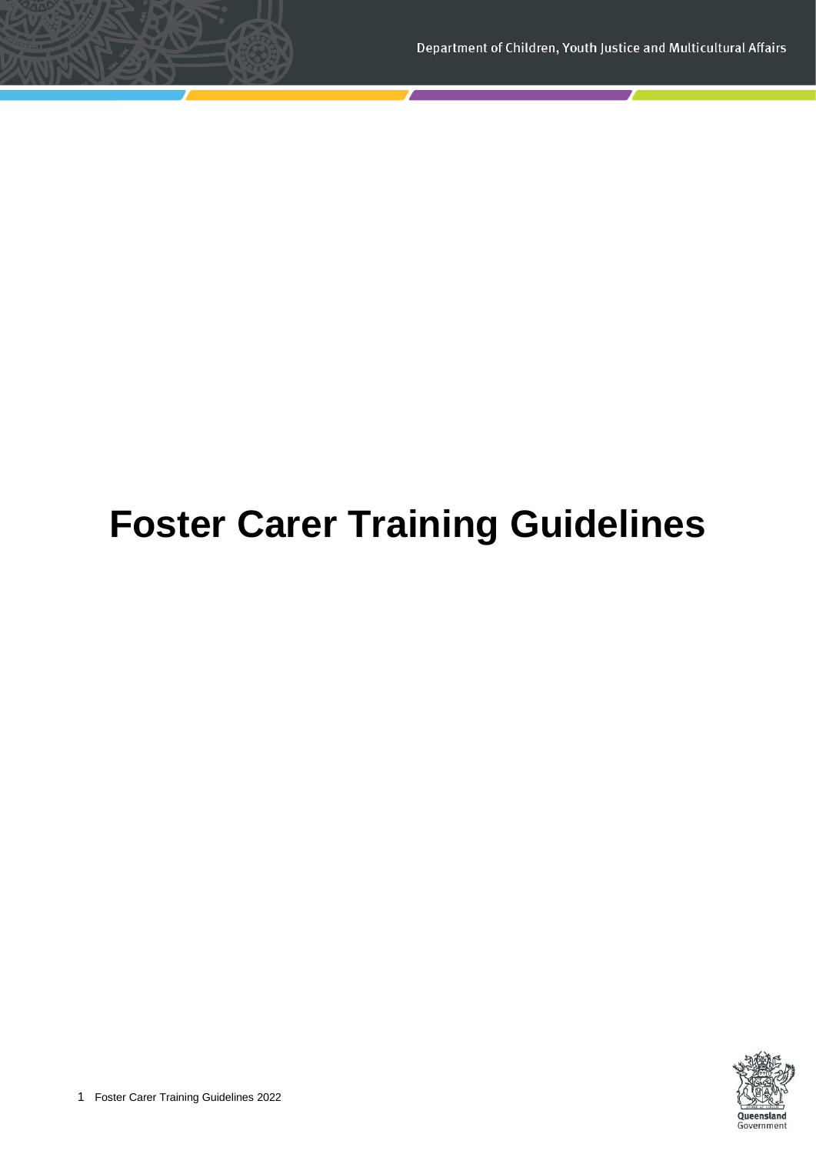# **Foster Carer Training Guidelines**

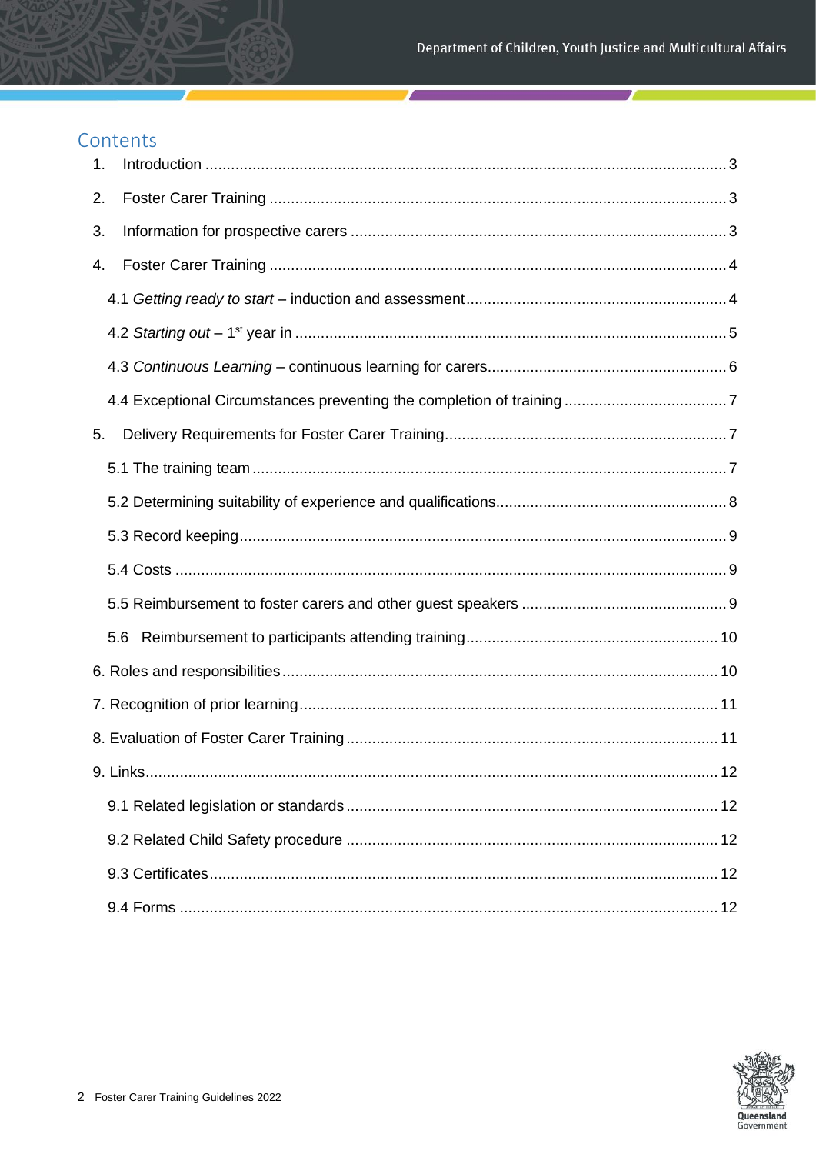# Contents

| 1. |     |  |
|----|-----|--|
| 2. |     |  |
| 3. |     |  |
| 4. |     |  |
|    |     |  |
|    |     |  |
|    |     |  |
|    |     |  |
| 5. |     |  |
|    |     |  |
|    |     |  |
|    |     |  |
|    |     |  |
|    |     |  |
|    | 5.6 |  |
|    |     |  |
|    |     |  |
|    |     |  |
|    |     |  |
|    |     |  |
|    |     |  |
|    |     |  |
|    |     |  |

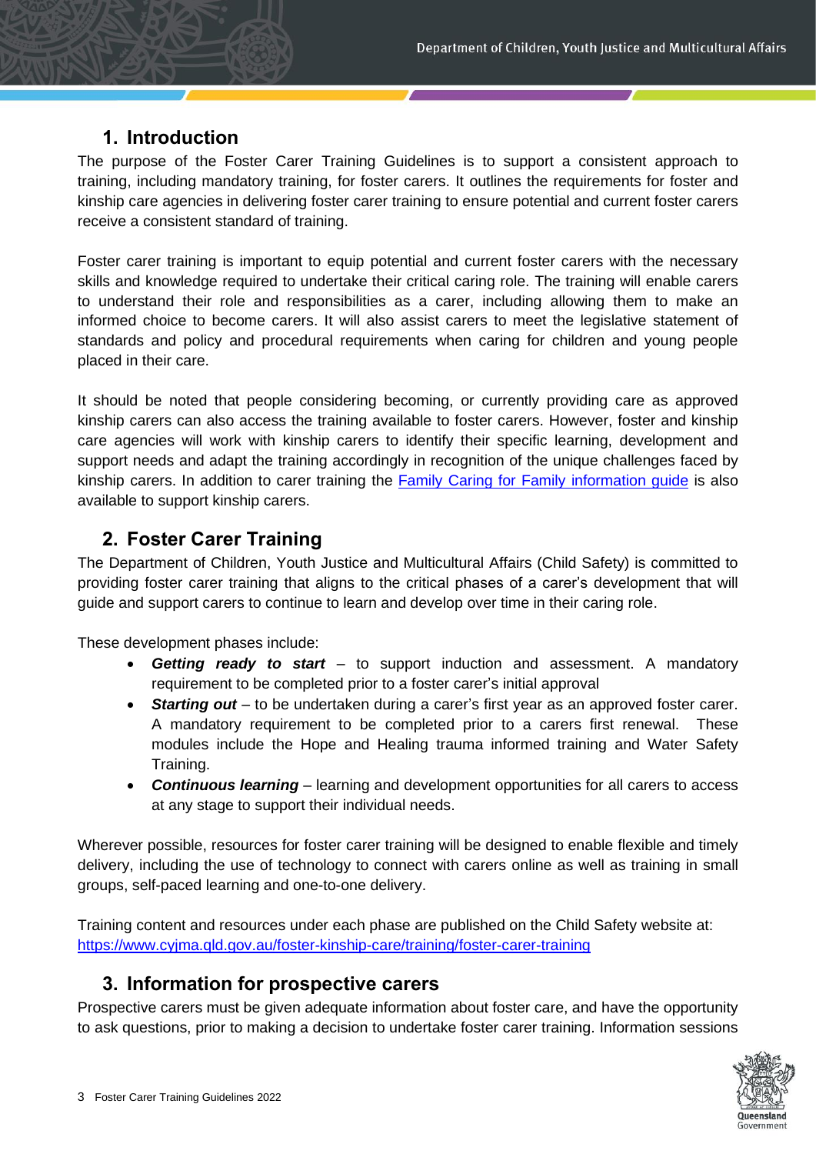# <span id="page-2-0"></span>**1. Introduction**

The purpose of the Foster Carer Training Guidelines is to support a consistent approach to training, including mandatory training, for foster carers. It outlines the requirements for foster and kinship care agencies in delivering foster carer training to ensure potential and current foster carers receive a consistent standard of training.

Foster carer training is important to equip potential and current foster carers with the necessary skills and knowledge required to undertake their critical caring role. The training will enable carers to understand their role and responsibilities as a carer, including allowing them to make an informed choice to become carers. It will also assist carers to meet the legislative statement of standards and policy and procedural requirements when caring for children and young people placed in their care.

It should be noted that people considering becoming, or currently providing care as approved kinship carers can also access the training available to foster carers. However, foster and kinship care agencies will work with kinship carers to identify their specific learning, development and support needs and adapt the training accordingly in recognition of the unique challenges faced by kinship carers. In addition to carer training the Family Caring [for Family information](https://www.qld.gov.au/__data/assets/pdf_file/0025/156355/family-caring-for-family-info-for-kinship-carers.pdf) guide is also available to support kinship carers.

# <span id="page-2-1"></span>**2. Foster Carer Training**

The Department of Children, Youth Justice and Multicultural Affairs (Child Safety) is committed to providing foster carer training that aligns to the critical phases of a carer's development that will guide and support carers to continue to learn and develop over time in their caring role.

These development phases include:

- *Getting ready to start* to support induction and assessment. A mandatory requirement to be completed prior to a foster carer's initial approval
- **Starting out** to be undertaken during a carer's first year as an approved foster carer. A mandatory requirement to be completed prior to a carers first renewal. These modules include the Hope and Healing trauma informed training and Water Safety Training.
- *Continuous learning –* learning and development opportunities for all carers to access at any stage to support their individual needs.

Wherever possible, resources for foster carer training will be designed to enable flexible and timely delivery, including the use of technology to connect with carers online as well as training in small groups, self-paced learning and one-to-one delivery.

Training content and resources under each phase are published on the Child Safety website at: <https://www.cyjma.qld.gov.au/foster-kinship-care/training/foster-carer-training>

# <span id="page-2-2"></span>**3. Information for prospective carers**

Prospective carers must be given adequate information about foster care, and have the opportunity to ask questions, prior to making a decision to undertake foster carer training. Information sessions

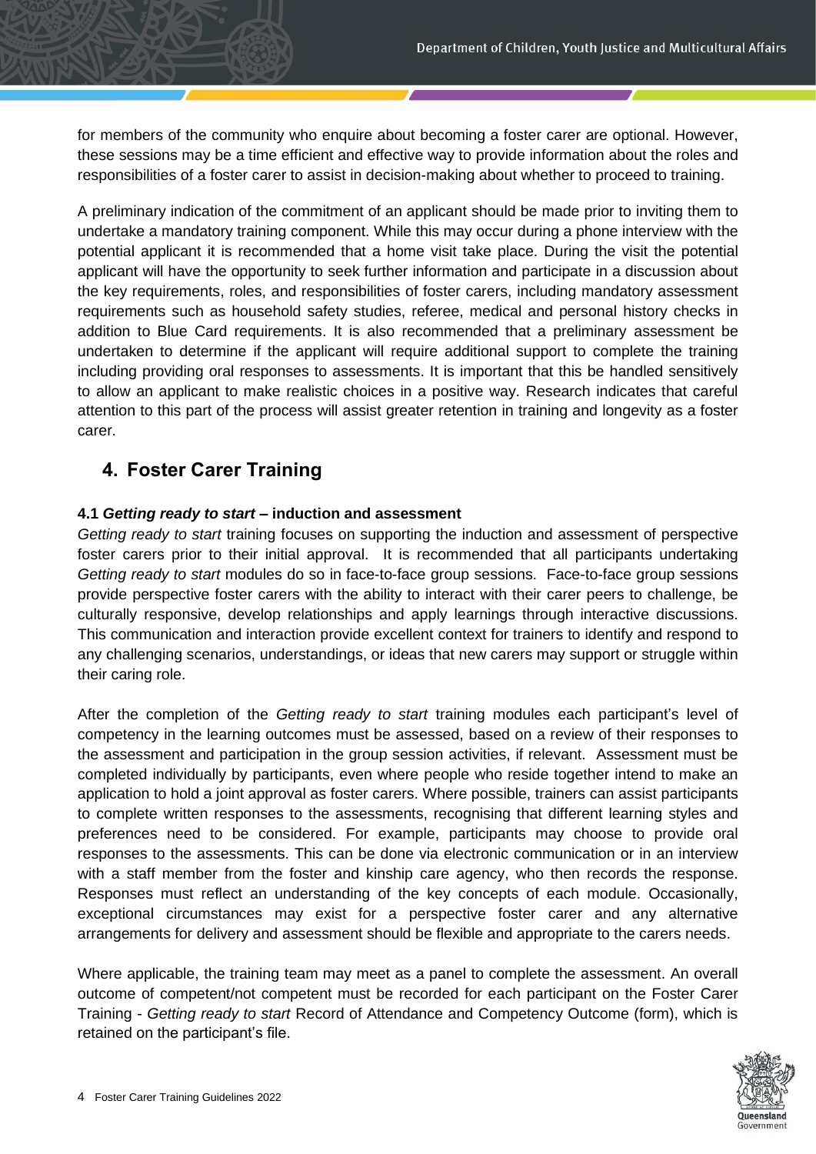for members of the community who enquire about becoming a foster carer are optional. However, these sessions may be a time efficient and effective way to provide information about the roles and responsibilities of a foster carer to assist in decision-making about whether to proceed to training.

A preliminary indication of the commitment of an applicant should be made prior to inviting them to undertake a mandatory training component. While this may occur during a phone interview with the potential applicant it is recommended that a home visit take place. During the visit the potential applicant will have the opportunity to seek further information and participate in a discussion about the key requirements, roles, and responsibilities of foster carers, including mandatory assessment requirements such as household safety studies, referee, medical and personal history checks in addition to Blue Card requirements. It is also recommended that a preliminary assessment be undertaken to determine if the applicant will require additional support to complete the training including providing oral responses to assessments. It is important that this be handled sensitively to allow an applicant to make realistic choices in a positive way. Research indicates that careful attention to this part of the process will assist greater retention in training and longevity as a foster carer.

# <span id="page-3-0"></span>**4. Foster Carer Training**

## <span id="page-3-1"></span>**4.1** *Getting ready to start* **– induction and assessment**

*Getting ready to start* training focuses on supporting the induction and assessment of perspective foster carers prior to their initial approval. It is recommended that all participants undertaking *Getting ready to start* modules do so in face-to-face group sessions. Face-to-face group sessions provide perspective foster carers with the ability to interact with their carer peers to challenge, be culturally responsive, develop relationships and apply learnings through interactive discussions. This communication and interaction provide excellent context for trainers to identify and respond to any challenging scenarios, understandings, or ideas that new carers may support or struggle within their caring role.

After the completion of the *Getting ready to start* training modules each participant's level of competency in the learning outcomes must be assessed, based on a review of their responses to the assessment and participation in the group session activities, if relevant. Assessment must be completed individually by participants, even where people who reside together intend to make an application to hold a joint approval as foster carers. Where possible, trainers can assist participants to complete written responses to the assessments, recognising that different learning styles and preferences need to be considered. For example, participants may choose to provide oral responses to the assessments. This can be done via electronic communication or in an interview with a staff member from the foster and kinship care agency, who then records the response. Responses must reflect an understanding of the key concepts of each module. Occasionally, exceptional circumstances may exist for a perspective foster carer and any alternative arrangements for delivery and assessment should be flexible and appropriate to the carers needs.

Where applicable, the training team may meet as a panel to complete the assessment. An overall outcome of competent/not competent must be recorded for each participant on the Foster Carer Training - *Getting ready to start* Record of Attendance and Competency Outcome (form), which is retained on the participant's file.

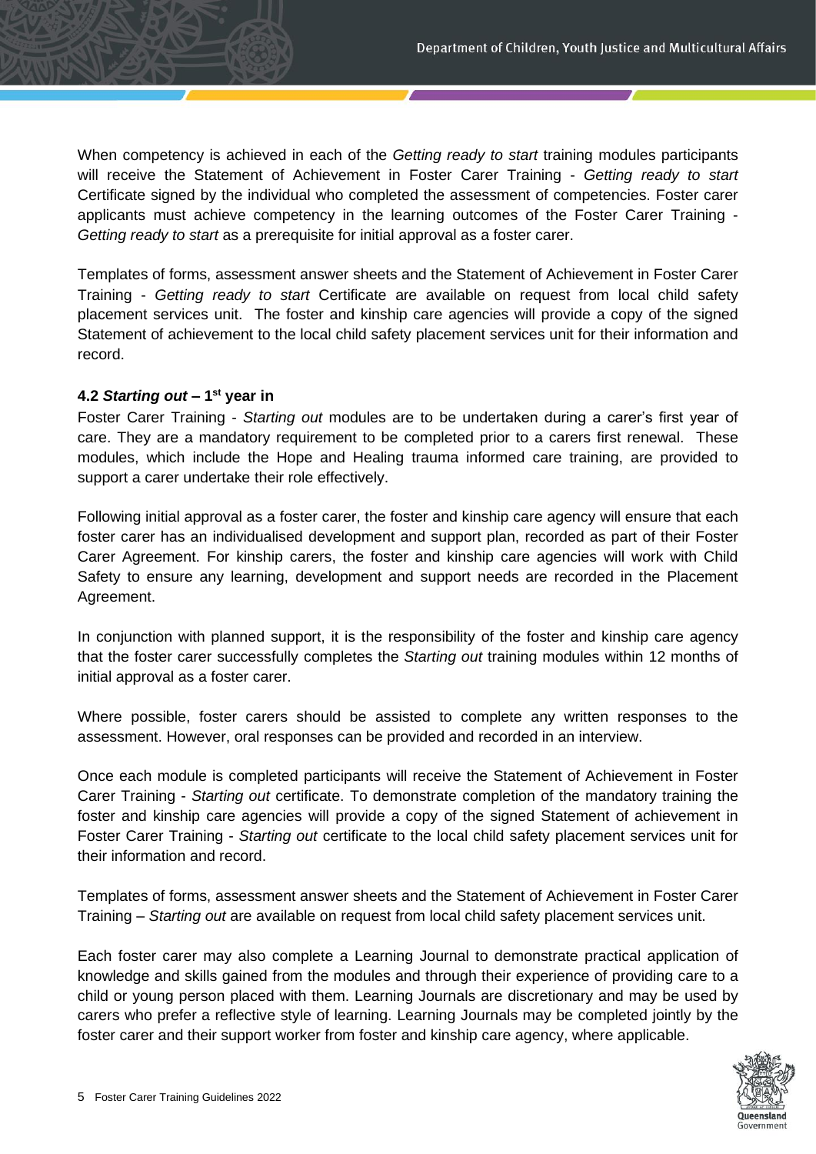When competency is achieved in each of the *Getting ready to start* training modules participants will receive the Statement of Achievement in Foster Carer Training - *Getting ready to start* Certificate signed by the individual who completed the assessment of competencies. Foster carer applicants must achieve competency in the learning outcomes of the Foster Carer Training - *Getting ready to start* as a prerequisite for initial approval as a foster carer.

Templates of forms, assessment answer sheets and the Statement of Achievement in Foster Carer Training - *Getting ready to start* Certificate are available on request from local child safety placement services unit. The foster and kinship care agencies will provide a copy of the signed Statement of achievement to the local child safety placement services unit for their information and record.

## <span id="page-4-0"></span>**4.2** *Starting out* **– 1 st year in**

Foster Carer Training - *Starting out* modules are to be undertaken during a carer's first year of care. They are a mandatory requirement to be completed prior to a carers first renewal. These modules, which include the Hope and Healing trauma informed care training, are provided to support a carer undertake their role effectively.

Following initial approval as a foster carer, the foster and kinship care agency will ensure that each foster carer has an individualised development and support plan, recorded as part of their Foster Carer Agreement. For kinship carers, the foster and kinship care agencies will work with Child Safety to ensure any learning, development and support needs are recorded in the Placement Agreement.

In conjunction with planned support, it is the responsibility of the foster and kinship care agency that the foster carer successfully completes the *Starting out* training modules within 12 months of initial approval as a foster carer.

Where possible, foster carers should be assisted to complete any written responses to the assessment. However, oral responses can be provided and recorded in an interview.

Once each module is completed participants will receive the Statement of Achievement in Foster Carer Training - *Starting out* certificate. To demonstrate completion of the mandatory training the foster and kinship care agencies will provide a copy of the signed Statement of achievement in Foster Carer Training - *Starting out* certificate to the local child safety placement services unit for their information and record.

Templates of forms, assessment answer sheets and the Statement of Achievement in Foster Carer Training – *Starting out* are available on request from local child safety placement services unit.

Each foster carer may also complete a Learning Journal to demonstrate practical application of knowledge and skills gained from the modules and through their experience of providing care to a child or young person placed with them. Learning Journals are discretionary and may be used by carers who prefer a reflective style of learning. Learning Journals may be completed jointly by the foster carer and their support worker from foster and kinship care agency, where applicable.

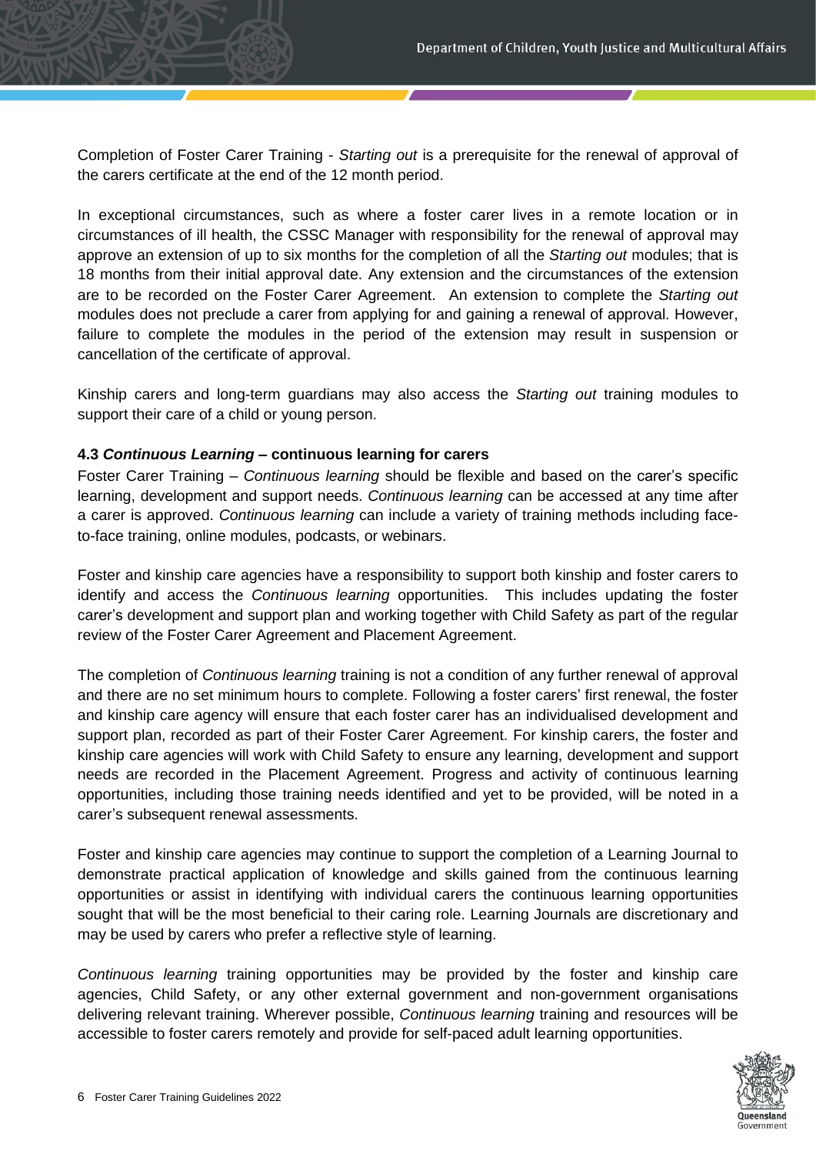Completion of Foster Carer Training - *Starting out* is a prerequisite for the renewal of approval of the carers certificate at the end of the 12 month period.

In exceptional circumstances, such as where a foster carer lives in a remote location or in circumstances of ill health, the CSSC Manager with responsibility for the renewal of approval may approve an extension of up to six months for the completion of all the *Starting out* modules; that is 18 months from their initial approval date. Any extension and the circumstances of the extension are to be recorded on the Foster Carer Agreement. An extension to complete the *Starting out* modules does not preclude a carer from applying for and gaining a renewal of approval. However, failure to complete the modules in the period of the extension may result in suspension or cancellation of the certificate of approval.

Kinship carers and long-term guardians may also access the *Starting out* training modules to support their care of a child or young person.

#### <span id="page-5-0"></span>**4.3** *Continuous Learning* **– continuous learning for carers**

Foster Carer Training – *Continuous learning* should be flexible and based on the carer's specific learning, development and support needs. *Continuous learning* can be accessed at any time after a carer is approved. *Continuous learning* can include a variety of training methods including faceto-face training, online modules, podcasts, or webinars.

Foster and kinship care agencies have a responsibility to support both kinship and foster carers to identify and access the *Continuous learning* opportunities. This includes updating the foster carer's development and support plan and working together with Child Safety as part of the regular review of the Foster Carer Agreement and Placement Agreement.

The completion of *Continuous learning* training is not a condition of any further renewal of approval and there are no set minimum hours to complete. Following a foster carers' first renewal, the foster and kinship care agency will ensure that each foster carer has an individualised development and support plan, recorded as part of their Foster Carer Agreement. For kinship carers, the foster and kinship care agencies will work with Child Safety to ensure any learning, development and support needs are recorded in the Placement Agreement. Progress and activity of continuous learning opportunities, including those training needs identified and yet to be provided, will be noted in a carer's subsequent renewal assessments.

Foster and kinship care agencies may continue to support the completion of a Learning Journal to demonstrate practical application of knowledge and skills gained from the continuous learning opportunities or assist in identifying with individual carers the continuous learning opportunities sought that will be the most beneficial to their caring role. Learning Journals are discretionary and may be used by carers who prefer a reflective style of learning.

*Continuous learning* training opportunities may be provided by the foster and kinship care agencies, Child Safety, or any other external government and non-government organisations delivering relevant training. Wherever possible, *Continuous learning* training and resources will be accessible to foster carers remotely and provide for self-paced adult learning opportunities.

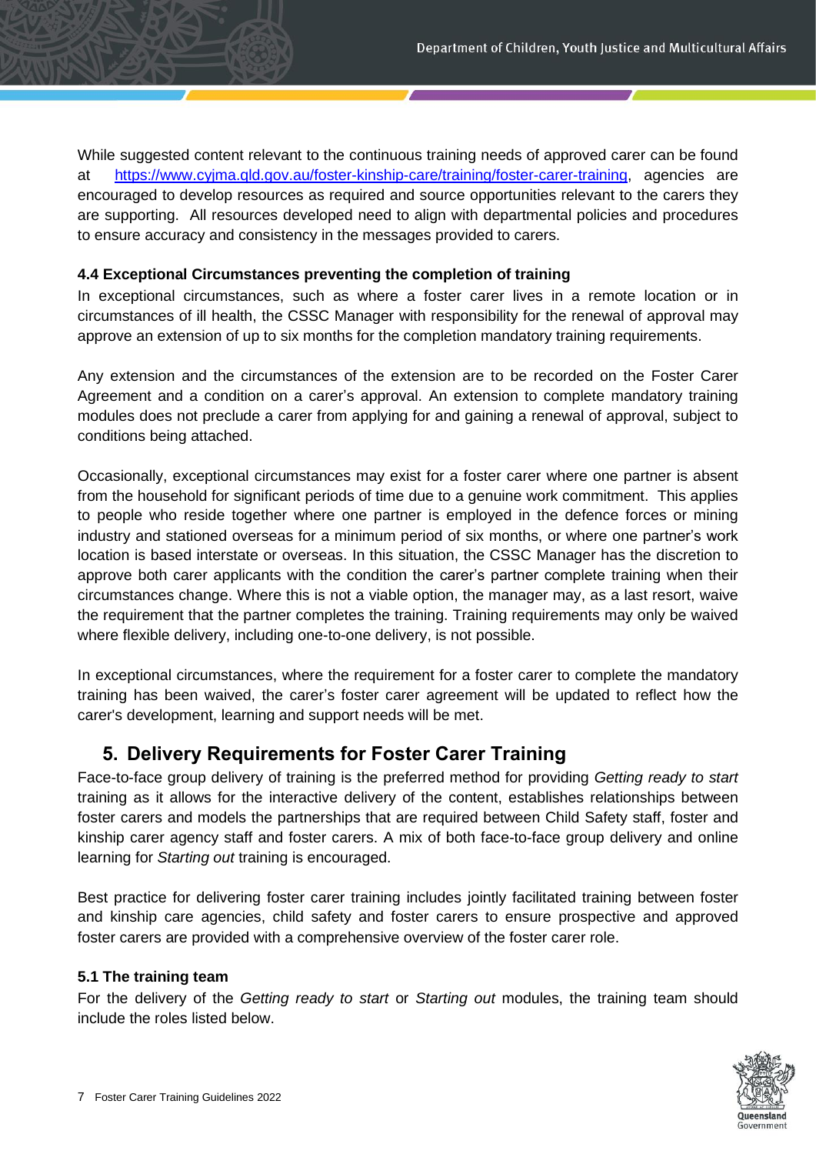While suggested content relevant to the continuous training needs of approved carer can be found at [https://www.cyjma.qld.gov.au/foster-kinship-care/training/foster-carer-training,](https://www.cyjma.qld.gov.au/foster-kinship-care/training/foster-carer-training) agencies are encouraged to develop resources as required and source opportunities relevant to the carers they are supporting. All resources developed need to align with departmental policies and procedures to ensure accuracy and consistency in the messages provided to carers.

## <span id="page-6-0"></span>**4.4 Exceptional Circumstances preventing the completion of training**

In exceptional circumstances, such as where a foster carer lives in a remote location or in circumstances of ill health, the CSSC Manager with responsibility for the renewal of approval may approve an extension of up to six months for the completion mandatory training requirements.

Any extension and the circumstances of the extension are to be recorded on the Foster Carer Agreement and a condition on a carer's approval. An extension to complete mandatory training modules does not preclude a carer from applying for and gaining a renewal of approval, subject to conditions being attached.

Occasionally, exceptional circumstances may exist for a foster carer where one partner is absent from the household for significant periods of time due to a genuine work commitment. This applies to people who reside together where one partner is employed in the defence forces or mining industry and stationed overseas for a minimum period of six months, or where one partner's work location is based interstate or overseas. In this situation, the CSSC Manager has the discretion to approve both carer applicants with the condition the carer's partner complete training when their circumstances change. Where this is not a viable option, the manager may, as a last resort, waive the requirement that the partner completes the training. Training requirements may only be waived where flexible delivery, including one-to-one delivery, is not possible.

In exceptional circumstances, where the requirement for a foster carer to complete the mandatory training has been waived, the carer's foster carer agreement will be updated to reflect how the carer's development, learning and support needs will be met.

# <span id="page-6-1"></span>**5. Delivery Requirements for Foster Carer Training**

Face-to-face group delivery of training is the preferred method for providing *Getting ready to start* training as it allows for the interactive delivery of the content, establishes relationships between foster carers and models the partnerships that are required between Child Safety staff, foster and kinship carer agency staff and foster carers. A mix of both face-to-face group delivery and online learning for *Starting out* training is encouraged.

Best practice for delivering foster carer training includes jointly facilitated training between foster and kinship care agencies, child safety and foster carers to ensure prospective and approved foster carers are provided with a comprehensive overview of the foster carer role.

## <span id="page-6-2"></span>**5.1 The training team**

For the delivery of the *Getting ready to start* or *Starting out* modules, the training team should include the roles listed below.

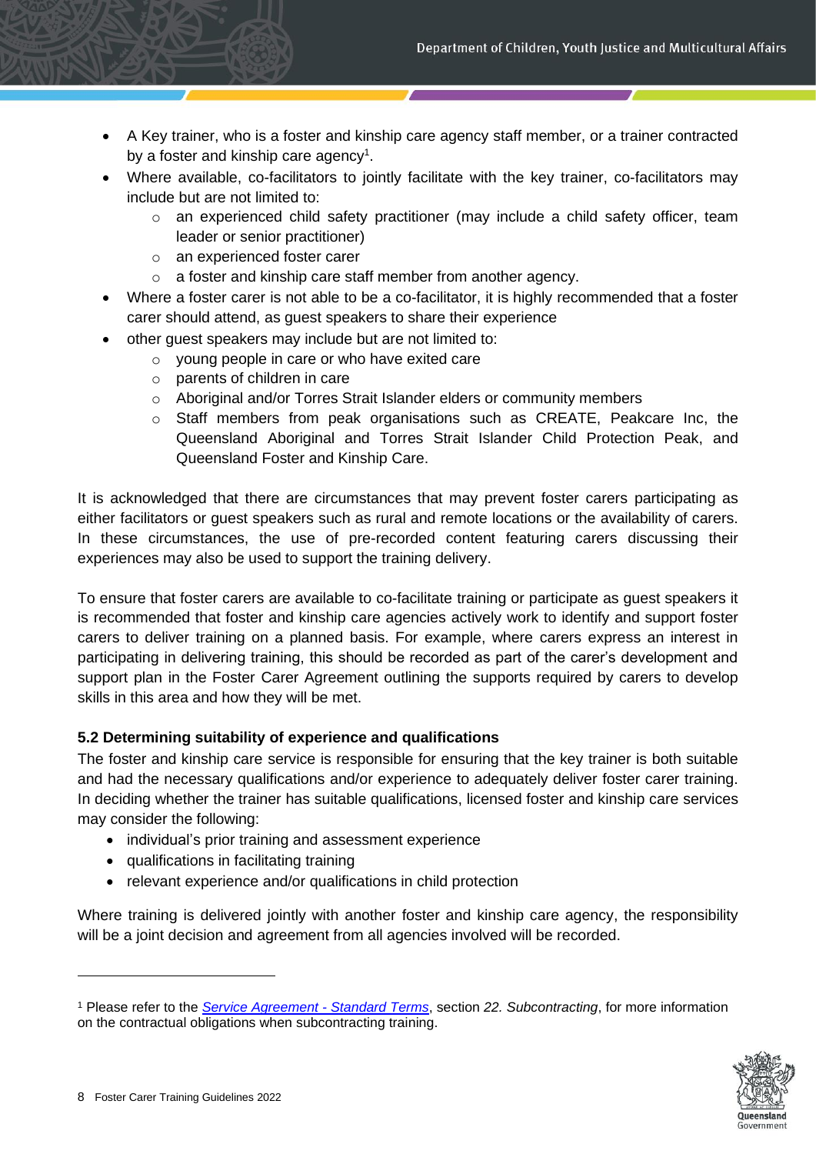- A Key trainer, who is a foster and kinship care agency staff member, or a trainer contracted by a foster and kinship care agency<sup>1</sup>.
- Where available, co-facilitators to jointly facilitate with the key trainer, co-facilitators may include but are not limited to:
	- o an experienced child safety practitioner (may include a child safety officer, team leader or senior practitioner)
	- o an experienced foster carer
	- o a foster and kinship care staff member from another agency.
- Where a foster carer is not able to be a co-facilitator, it is highly recommended that a foster carer should attend, as guest speakers to share their experience
- other guest speakers may include but are not limited to:
	- o young people in care or who have exited care
	- o parents of children in care
	- o Aboriginal and/or Torres Strait Islander elders or community members
	- $\circ$  Staff members from peak organisations such as CREATE, Peakcare Inc, the Queensland Aboriginal and Torres Strait Islander Child Protection Peak, and Queensland Foster and Kinship Care.

It is acknowledged that there are circumstances that may prevent foster carers participating as either facilitators or guest speakers such as rural and remote locations or the availability of carers. In these circumstances, the use of pre-recorded content featuring carers discussing their experiences may also be used to support the training delivery.

To ensure that foster carers are available to co-facilitate training or participate as guest speakers it is recommended that foster and kinship care agencies actively work to identify and support foster carers to deliver training on a planned basis. For example, where carers express an interest in participating in delivering training, this should be recorded as part of the carer's development and support plan in the Foster Carer Agreement outlining the supports required by carers to develop skills in this area and how they will be met.

## <span id="page-7-0"></span>**5.2 Determining suitability of experience and qualifications**

The foster and kinship care service is responsible for ensuring that the key trainer is both suitable and had the necessary qualifications and/or experience to adequately deliver foster carer training. In deciding whether the trainer has suitable qualifications, licensed foster and kinship care services may consider the following:

- individual's prior training and assessment experience
- qualifications in facilitating training
- relevant experience and/or qualifications in child protection

Where training is delivered jointly with another foster and kinship care agency, the responsibility will be a joint decision and agreement from all agencies involved will be recorded.

<sup>1</sup> Please refer to the *[Service Agreement -](https://www.hpw.qld.gov.au/__data/assets/pdf_file/0006/4020/updateserviceagreementstandardterms.pdf) Standard Terms*, section *22. Subcontracting*, for more information on the contractual obligations when subcontracting training.

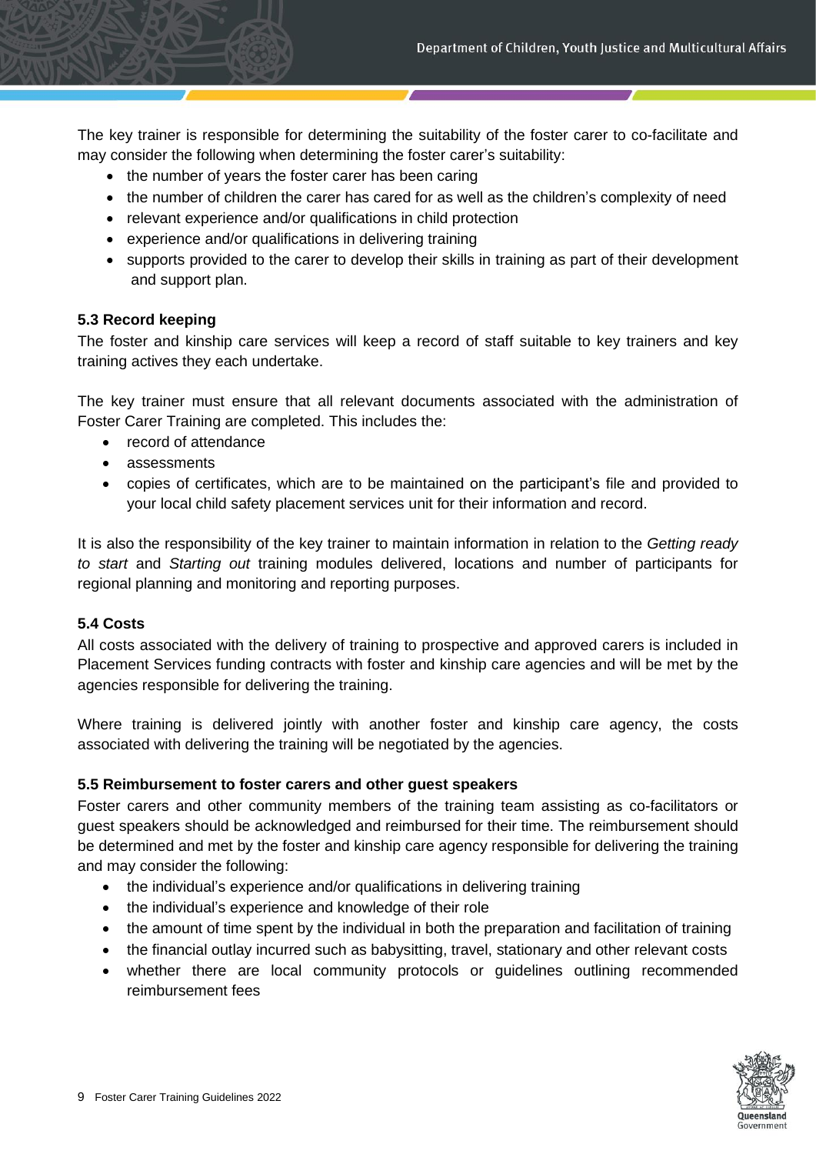The key trainer is responsible for determining the suitability of the foster carer to co-facilitate and may consider the following when determining the foster carer's suitability:

- the number of vears the foster carer has been caring
- the number of children the carer has cared for as well as the children's complexity of need
- relevant experience and/or qualifications in child protection
- experience and/or qualifications in delivering training
- supports provided to the carer to develop their skills in training as part of their development and support plan.

#### <span id="page-8-0"></span>**5.3 Record keeping**

The foster and kinship care services will keep a record of staff suitable to key trainers and key training actives they each undertake.

The key trainer must ensure that all relevant documents associated with the administration of Foster Carer Training are completed. This includes the:

- record of attendance
- assessments
- copies of certificates, which are to be maintained on the participant's file and provided to your local child safety placement services unit for their information and record.

It is also the responsibility of the key trainer to maintain information in relation to the *Getting ready to start* and *Starting out* training modules delivered, locations and number of participants for regional planning and monitoring and reporting purposes.

#### <span id="page-8-1"></span>**5.4 Costs**

All costs associated with the delivery of training to prospective and approved carers is included in Placement Services funding contracts with foster and kinship care agencies and will be met by the agencies responsible for delivering the training.

Where training is delivered jointly with another foster and kinship care agency, the costs associated with delivering the training will be negotiated by the agencies.

#### <span id="page-8-2"></span>**5.5 Reimbursement to foster carers and other guest speakers**

Foster carers and other community members of the training team assisting as co-facilitators or guest speakers should be acknowledged and reimbursed for their time. The reimbursement should be determined and met by the foster and kinship care agency responsible for delivering the training and may consider the following:

- the individual's experience and/or qualifications in delivering training
- the individual's experience and knowledge of their role
- the amount of time spent by the individual in both the preparation and facilitation of training
- the financial outlay incurred such as babysitting, travel, stationary and other relevant costs
- whether there are local community protocols or guidelines outlining recommended reimbursement fees

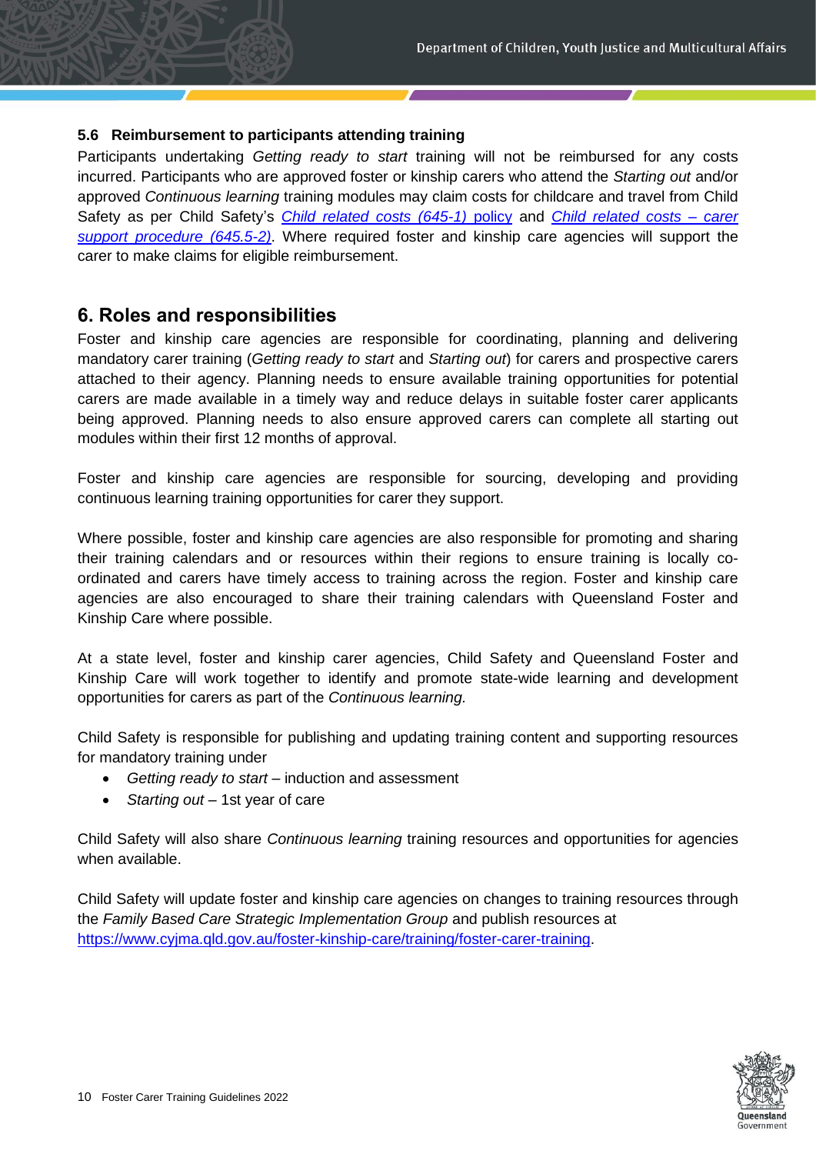## <span id="page-9-0"></span>**5.6 Reimbursement to participants attending training**

Participants undertaking *Getting ready to start* training will not be reimbursed for any costs incurred. Participants who are approved foster or kinship carers who attend the *Starting out* and/or approved *Continuous learning* training modules may claim costs for childcare and travel from Child Safety as per Child Safety's *[Child related](https://www.cyjma.qld.gov.au/resources/dcsyw/foster-kinship-care/child-related-costs-645.pdf) costs (645-1)* policy and *[Child related costs –](https://www.cyjma.qld.gov.au/resources/dcsyw/foster-kinship-care/crc-carer-support-645-5.pdf) carer [support procedure \(645.5-2\)](https://www.cyjma.qld.gov.au/resources/dcsyw/foster-kinship-care/crc-carer-support-645-5.pdf)*. Where required foster and kinship care agencies will support the carer to make claims for eligible reimbursement.

# <span id="page-9-1"></span>**6. Roles and responsibilities**

Foster and kinship care agencies are responsible for coordinating, planning and delivering mandatory carer training (*Getting ready to start* and *Starting out*) for carers and prospective carers attached to their agency. Planning needs to ensure available training opportunities for potential carers are made available in a timely way and reduce delays in suitable foster carer applicants being approved. Planning needs to also ensure approved carers can complete all starting out modules within their first 12 months of approval.

Foster and kinship care agencies are responsible for sourcing, developing and providing continuous learning training opportunities for carer they support.

Where possible, foster and kinship care agencies are also responsible for promoting and sharing their training calendars and or resources within their regions to ensure training is locally coordinated and carers have timely access to training across the region. Foster and kinship care agencies are also encouraged to share their training calendars with Queensland Foster and Kinship Care where possible.

At a state level, foster and kinship carer agencies, Child Safety and Queensland Foster and Kinship Care will work together to identify and promote state-wide learning and development opportunities for carers as part of the *Continuous learning.*

Child Safety is responsible for publishing and updating training content and supporting resources for mandatory training under

- *Getting ready to start* induction and assessment
- *Starting out* 1st year of care

Child Safety will also share *Continuous learning* training resources and opportunities for agencies when available.

Child Safety will update foster and kinship care agencies on changes to training resources through the *Family Based Care Strategic Implementation Group* and publish resources at [https://www.cyjma.qld.gov.au/foster-kinship-care/training/foster-carer-training.](https://www.cyjma.qld.gov.au/foster-kinship-care/training/foster-carer-training)

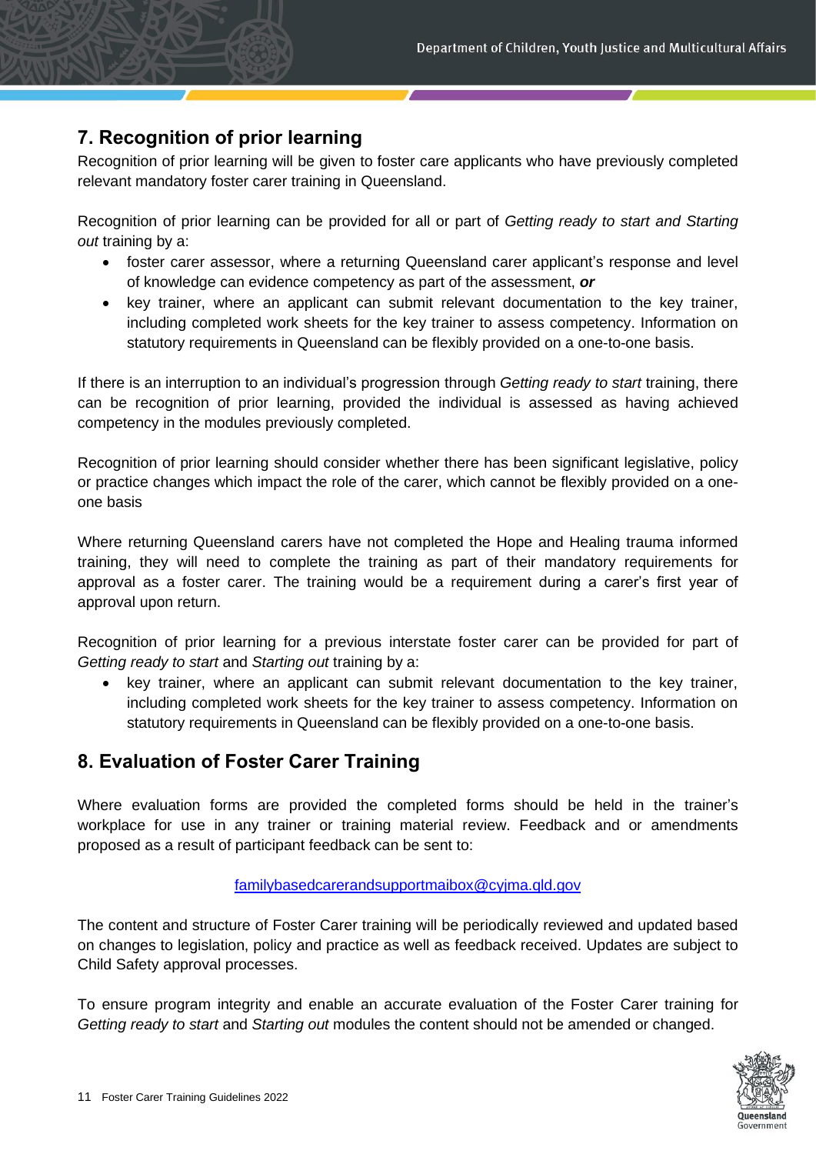# <span id="page-10-0"></span>**7. Recognition of prior learning**

Recognition of prior learning will be given to foster care applicants who have previously completed relevant mandatory foster carer training in Queensland.

Recognition of prior learning can be provided for all or part of *Getting ready to start and Starting out* training by a:

- foster carer assessor, where a returning Queensland carer applicant's response and level of knowledge can evidence competency as part of the assessment, *or*
- key trainer, where an applicant can submit relevant documentation to the key trainer, including completed work sheets for the key trainer to assess competency. Information on statutory requirements in Queensland can be flexibly provided on a one-to-one basis.

If there is an interruption to an individual's progression through *Getting ready to start* training, there can be recognition of prior learning, provided the individual is assessed as having achieved competency in the modules previously completed.

Recognition of prior learning should consider whether there has been significant legislative, policy or practice changes which impact the role of the carer, which cannot be flexibly provided on a oneone basis

Where returning Queensland carers have not completed the Hope and Healing trauma informed training, they will need to complete the training as part of their mandatory requirements for approval as a foster carer. The training would be a requirement during a carer's first year of approval upon return.

Recognition of prior learning for a previous interstate foster carer can be provided for part of *Getting ready to start* and *Starting out* training by a:

• key trainer, where an applicant can submit relevant documentation to the key trainer, including completed work sheets for the key trainer to assess competency. Information on statutory requirements in Queensland can be flexibly provided on a one-to-one basis.

# <span id="page-10-1"></span>**8. Evaluation of Foster Carer Training**

Where evaluation forms are provided the completed forms should be held in the trainer's workplace for use in any trainer or training material review. Feedback and or amendments proposed as a result of participant feedback can be sent to:

## [familybasedcarerandsupportmaibox@cyjma.qld.gov](mailto:familybasedcarerandsupportmaibox@cyjma.qld.gov)

The content and structure of Foster Carer training will be periodically reviewed and updated based on changes to legislation, policy and practice as well as feedback received. Updates are subject to Child Safety approval processes.

To ensure program integrity and enable an accurate evaluation of the Foster Carer training for *Getting ready to start* and *Starting out* modules the content should not be amended or changed.